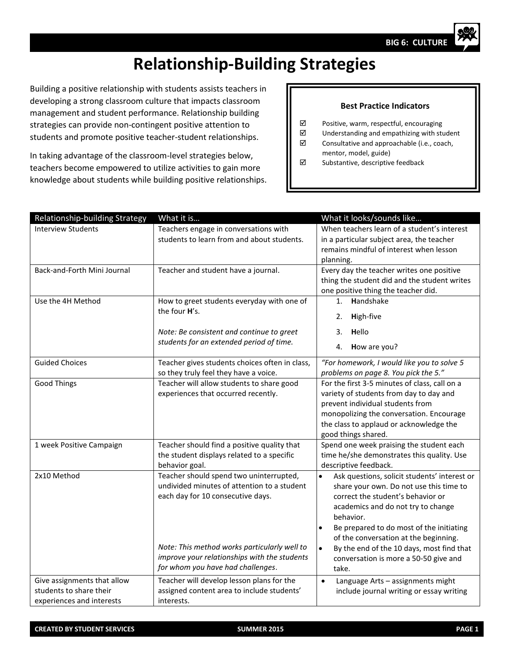## **Relationship-Building Strategies**

Building a positive relationship with students assists teachers in developing a strong classroom culture that impacts classroom management and student performance. Relationship building strategies can provide non-contingent positive attention to students and promote positive teacher-student relationships.

In taking advantage of the classroom-level strategies below, teachers become empowered to utilize activities to gain more knowledge about students while building positive relationships.

## **Best Practice Indicators**

- Positive, warm, respectful, encouraging
- Understanding and empathizing with student
- $\boxtimes$  Consultative and approachable (i.e., coach, mentor, model, guide)
- $\nabla$  Substantive, descriptive feedback

| Relationship-building Strategy                                                      | What it is                                                                                                                                                                                                                                                       | What it looks/sounds like                                                                                                                                                                                                                                                                                                                                                                     |
|-------------------------------------------------------------------------------------|------------------------------------------------------------------------------------------------------------------------------------------------------------------------------------------------------------------------------------------------------------------|-----------------------------------------------------------------------------------------------------------------------------------------------------------------------------------------------------------------------------------------------------------------------------------------------------------------------------------------------------------------------------------------------|
| <b>Interview Students</b>                                                           | Teachers engage in conversations with<br>students to learn from and about students.                                                                                                                                                                              | When teachers learn of a student's interest<br>in a particular subject area, the teacher<br>remains mindful of interest when lesson<br>planning.                                                                                                                                                                                                                                              |
| Back-and-Forth Mini Journal                                                         | Teacher and student have a journal.                                                                                                                                                                                                                              | Every day the teacher writes one positive<br>thing the student did and the student writes<br>one positive thing the teacher did.                                                                                                                                                                                                                                                              |
| Use the 4H Method                                                                   | How to greet students everyday with one of<br>the four H's.<br>Note: Be consistent and continue to greet<br>students for an extended period of time.                                                                                                             | Handshake<br>1 <sup>1</sup><br>High-five<br>2.<br>3. Hello<br>How are you?<br>4.                                                                                                                                                                                                                                                                                                              |
| <b>Guided Choices</b>                                                               | Teacher gives students choices often in class,<br>so they truly feel they have a voice.                                                                                                                                                                          | "For homework, I would like you to solve 5<br>problems on page 8. You pick the 5."                                                                                                                                                                                                                                                                                                            |
| <b>Good Things</b>                                                                  | Teacher will allow students to share good<br>experiences that occurred recently.                                                                                                                                                                                 | For the first 3-5 minutes of class, call on a<br>variety of students from day to day and<br>prevent individual students from<br>monopolizing the conversation. Encourage<br>the class to applaud or acknowledge the<br>good things shared.                                                                                                                                                    |
| 1 week Positive Campaign                                                            | Teacher should find a positive quality that<br>the student displays related to a specific<br>behavior goal.                                                                                                                                                      | Spend one week praising the student each<br>time he/she demonstrates this quality. Use<br>descriptive feedback.                                                                                                                                                                                                                                                                               |
| 2x10 Method                                                                         | Teacher should spend two uninterrupted,<br>undivided minutes of attention to a student<br>each day for 10 consecutive days.<br>Note: This method works particularly well to<br>improve your relationships with the students<br>for whom you have had challenges. | Ask questions, solicit students' interest or<br>$\bullet$<br>share your own. Do not use this time to<br>correct the student's behavior or<br>academics and do not try to change<br>behavior.<br>Be prepared to do most of the initiating<br>of the conversation at the beginning.<br>By the end of the 10 days, most find that<br>$\bullet$<br>conversation is more a 50-50 give and<br>take. |
| Give assignments that allow<br>students to share their<br>experiences and interests | Teacher will develop lesson plans for the<br>assigned content area to include students'<br>interests.                                                                                                                                                            | Language Arts - assignments might<br>$\bullet$<br>include journal writing or essay writing                                                                                                                                                                                                                                                                                                    |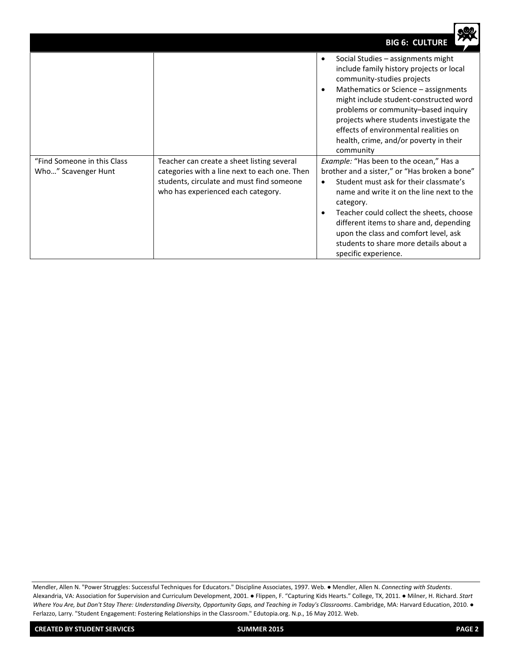|                                                    |                                                                                                                                                                                | <b>BIG 6: CULTURE</b>                                                                                                                                                                                                                                                                                                                                                                          |
|----------------------------------------------------|--------------------------------------------------------------------------------------------------------------------------------------------------------------------------------|------------------------------------------------------------------------------------------------------------------------------------------------------------------------------------------------------------------------------------------------------------------------------------------------------------------------------------------------------------------------------------------------|
|                                                    |                                                                                                                                                                                | Social Studies - assignments might<br>$\bullet$<br>include family history projects or local<br>community-studies projects<br>Mathematics or Science - assignments<br>might include student-constructed word<br>problems or community-based inquiry<br>projects where students investigate the<br>effects of environmental realities on<br>health, crime, and/or poverty in their<br>community  |
| "Find Someone in this Class<br>Who" Scavenger Hunt | Teacher can create a sheet listing several<br>categories with a line next to each one. Then<br>students, circulate and must find someone<br>who has experienced each category. | Example: "Has been to the ocean," Has a<br>brother and a sister," or "Has broken a bone"<br>Student must ask for their classmate's<br>name and write it on the line next to the<br>category.<br>Teacher could collect the sheets, choose<br>different items to share and, depending<br>upon the class and comfort level, ask<br>students to share more details about a<br>specific experience. |

Mendler, Allen N. "Power Struggles: Successful Techniques for Educators." Discipline Associates, 1997. Web. ● Mendler, Allen N. *Connecting with Students*. Alexandria, VA: Association for Supervision and Curriculum Development, 2001. ● Flippen, F. "Capturing Kids Hearts." College, TX, 2011. ● Milner, H. Richard. *Start Where You Are, but Don't Stay There: Understanding Diversity, Opportunity Gaps, and Teaching in Today's Classrooms*. Cambridge, MA: Harvard Education, 2010. ● Ferlazzo, Larry. "Student Engagement: Fostering Relationships in the Classroom." Edutopia.org. N.p., 16 May 2012. Web.